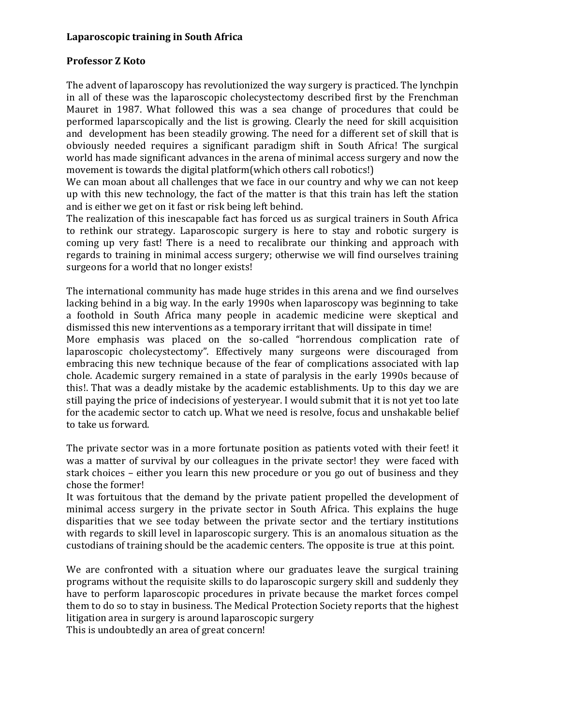## Laparoscopic training in South Africa

## Professor Z Koto

The advent of laparoscopy has revolutionized the way surgery is practiced. The lynchpin in all of these was the laparoscopic cholecystectomy described first by the Frenchman Mauret in 1987. What followed this was a sea change of procedures that could be performed laparscopically and the list is growing. Clearly the need for skill acquisition and development has been steadily growing. The need for a different set of skill that is obviously needed requires a significant paradigm shift in South Africa! The surgical world has made significant advances in the arena of minimal access surgery and now the movement is towards the digital platform(which others call robotics!)

We can moan about all challenges that we face in our country and why we can not keep up with this new technology, the fact of the matter is that this train has left the station and is either we get on it fast or risk being left behind.

The realization of this inescapable fact has forced us as surgical trainers in South Africa to rethink our strategy. Laparoscopic surgery is here to stay and robotic surgery is coming up very fast! There is a need to recalibrate our thinking and approach with regards to training in minimal access surgery; otherwise we will find ourselves training surgeons for a world that no longer exists!

The international community has made huge strides in this arena and we find ourselves lacking behind in a big way. In the early 1990s when laparoscopy was beginning to take a foothold in South Africa many people in academic medicine were skeptical and dismissed this new interventions as a temporary irritant that will dissipate in time!

More emphasis was placed on the so-called "horrendous complication rate of laparoscopic cholecystectomy". Effectively many surgeons were discouraged from embracing this new technique because of the fear of complications associated with lap chole. Academic surgery remained in a state of paralysis in the early 1990s because of this!. That was a deadly mistake by the academic establishments. Up to this day we are still paying the price of indecisions of yesteryear. I would submit that it is not yet too late for the academic sector to catch up. What we need is resolve, focus and unshakable belief to take us forward.

The private sector was in a more fortunate position as patients voted with their feet! it was a matter of survival by our colleagues in the private sector! they were faced with stark choices – either you learn this new procedure or you go out of business and they chose the former!

It was fortuitous that the demand by the private patient propelled the development of minimal access surgery in the private sector in South Africa. This explains the huge disparities that we see today between the private sector and the tertiary institutions with regards to skill level in laparoscopic surgery. This is an anomalous situation as the custodians of training should be the academic centers. The opposite is true at this point.

We are confronted with a situation where our graduates leave the surgical training programs without the requisite skills to do laparoscopic surgery skill and suddenly they have to perform laparoscopic procedures in private because the market forces compel them to do so to stay in business. The Medical Protection Society reports that the highest litigation area in surgery is around laparoscopic surgery

This is undoubtedly an area of great concern!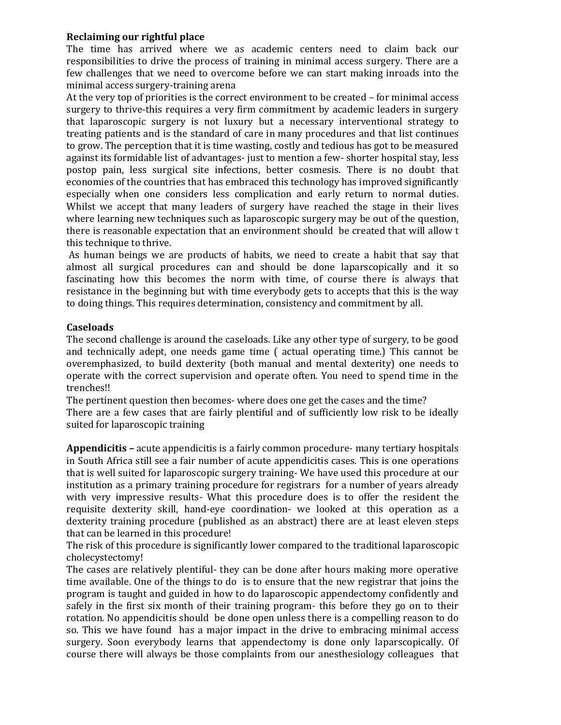# Reclaiming our rightful place

The time has arrived where we as academic centers need to claim back our responsibilities to drive the process of training in minimal access surgery. There are a few challenges that we need to overcome before we can start making inroads into the minimal access surgery-training arena

At the very top of priorities is the correct environment to be created – for minimal access surgery to thrive-this requires a very firm commitment by academic leaders in surgery that laparoscopic surgery is not luxury but a necessary interventional strategy to treating patients and is the standard of care in many procedures and that list continues to grow. The perception that it is time wasting, costly and tedious has got to be measured against its formidable list of advantages- just to mention a few- shorter hospital stay, less postop pain, less surgical site infections, better cosmesis. There is no doubt that economies of the countries that has embraced this technology has improved significantly especially when one considers less complication and early return to normal duties. Whilst we accept that many leaders of surgery have reached the stage in their lives where learning new techniques such as laparoscopic surgery may be out of the question, there is reasonable expectation that an environment should be created that will allow t this technique to thrive.

 As human beings we are products of habits, we need to create a habit that say that almost all surgical procedures can and should be done laparscopically and it so fascinating how this becomes the norm with time, of course there is always that resistance in the beginning but with time everybody gets to accepts that this is the way to doing things. This requires determination, consistency and commitment by all.

# Caseloads

The second challenge is around the caseloads. Like any other type of surgery, to be good and technically adept, one needs game time ( actual operating time.) This cannot be overemphasized, to build dexterity (both manual and mental dexterity) one needs to operate with the correct supervision and operate often. You need to spend time in the trenches!!

The pertinent question then becomes- where does one get the cases and the time? There are a few cases that are fairly plentiful and of sufficiently low risk to be ideally

suited for laparoscopic training

Appendicitis – acute appendicitis is a fairly common procedure- many tertiary hospitals in South Africa still see a fair number of acute appendicitis cases. This is one operations that is well suited for laparoscopic surgery training- We have used this procedure at our institution as a primary training procedure for registrars for a number of years already with very impressive results- What this procedure does is to offer the resident the requisite dexterity skill, hand-eye coordination- we looked at this operation as a dexterity training procedure (published as an abstract) there are at least eleven steps that can be learned in this procedure!

The risk of this procedure is significantly lower compared to the traditional laparoscopic cholecystectomy!

The cases are relatively plentiful- they can be done after hours making more operative time available. One of the things to do is to ensure that the new registrar that joins the program is taught and guided in how to do laparoscopic appendectomy confidently and safely in the first six month of their training program- this before they go on to their rotation. No appendicitis should be done open unless there is a compelling reason to do so. This we have found has a major impact in the drive to embracing minimal access surgery. Soon everybody learns that appendectomy is done only laparscopically. Of course there will always be those complaints from our anesthesiology colleagues that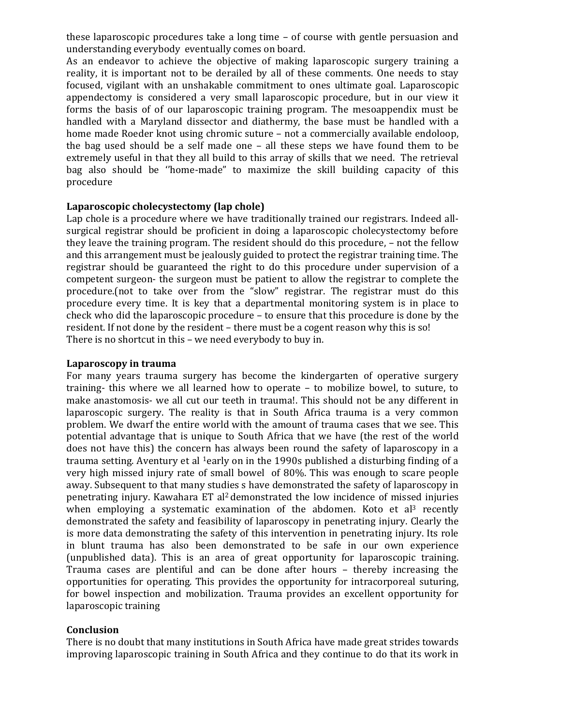these laparoscopic procedures take a long time – of course with gentle persuasion and understanding everybody eventually comes on board.

As an endeavor to achieve the objective of making laparoscopic surgery training a reality, it is important not to be derailed by all of these comments. One needs to stay focused, vigilant with an unshakable commitment to ones ultimate goal. Laparoscopic appendectomy is considered a very small laparoscopic procedure, but in our view it forms the basis of of our laparoscopic training program. The mesoappendix must be handled with a Maryland dissector and diathermy, the base must be handled with a home made Roeder knot using chromic suture – not a commercially available endoloop, the bag used should be a self made one – all these steps we have found them to be extremely useful in that they all build to this array of skills that we need. The retrieval bag also should be ''home-made" to maximize the skill building capacity of this procedure

## Laparoscopic cholecystectomy (lap chole)

Lap chole is a procedure where we have traditionally trained our registrars. Indeed allsurgical registrar should be proficient in doing a laparoscopic cholecystectomy before they leave the training program. The resident should do this procedure, – not the fellow and this arrangement must be jealously guided to protect the registrar training time. The registrar should be guaranteed the right to do this procedure under supervision of a competent surgeon- the surgeon must be patient to allow the registrar to complete the procedure.(not to take over from the "slow" registrar. The registrar must do this procedure every time. It is key that a departmental monitoring system is in place to check who did the laparoscopic procedure – to ensure that this procedure is done by the resident. If not done by the resident – there must be a cogent reason why this is so! There is no shortcut in this – we need everybody to buy in.

#### Laparoscopy in trauma

For many years trauma surgery has become the kindergarten of operative surgery training- this where we all learned how to operate – to mobilize bowel, to suture, to make anastomosis- we all cut our teeth in trauma!. This should not be any different in laparoscopic surgery. The reality is that in South Africa trauma is a very common problem. We dwarf the entire world with the amount of trauma cases that we see. This potential advantage that is unique to South Africa that we have (the rest of the world does not have this) the concern has always been round the safety of laparoscopy in a trauma setting. Aventury et al <sup>1</sup>early on in the 1990s published a disturbing finding of a very high missed injury rate of small bowel of 80%. This was enough to scare people away. Subsequent to that many studies s have demonstrated the safety of laparoscopy in penetrating injury. Kawahara ET al2 demonstrated the low incidence of missed injuries when employing a systematic examination of the abdomen. Koto et al<sup>3</sup> recently demonstrated the safety and feasibility of laparoscopy in penetrating injury. Clearly the is more data demonstrating the safety of this intervention in penetrating injury. Its role in blunt trauma has also been demonstrated to be safe in our own experience (unpublished data). This is an area of great opportunity for laparoscopic training. Trauma cases are plentiful and can be done after hours – thereby increasing the opportunities for operating. This provides the opportunity for intracorporeal suturing, for bowel inspection and mobilization. Trauma provides an excellent opportunity for laparoscopic training

#### Conclusion

There is no doubt that many institutions in South Africa have made great strides towards improving laparoscopic training in South Africa and they continue to do that its work in